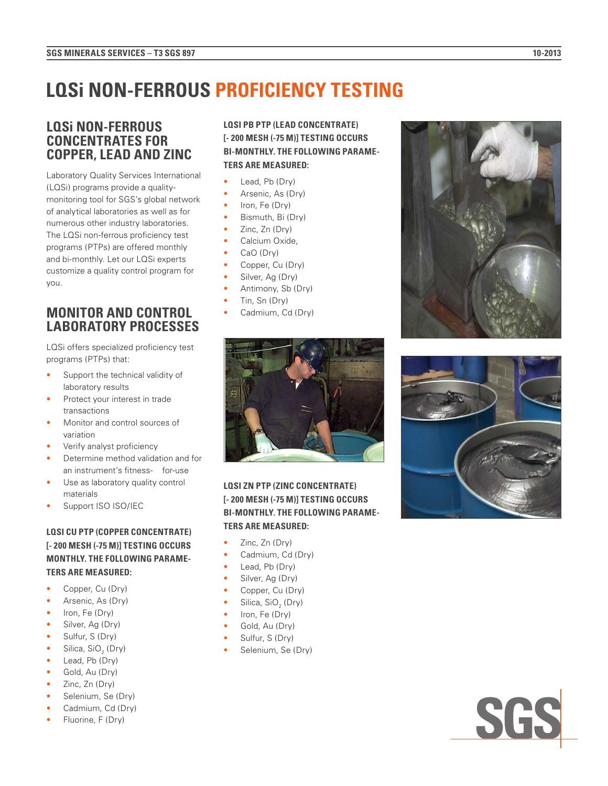# **LQSi NON-FERROUS PROFICIENCY TESTING**

## **LQSi NON-FERROUS CONCENTRATES FOR COPPER, LEAD AND ZINC**

Laboratory Quality Services International (LQSi) programs provide a qualitymonitoring tool for SGS's global network of analytical laboratories as well as for numerous other industry laboratories. The LQSi non-ferrous proficiency test programs (PTPs) are offered monthly and bi-monthly. Let our LQSi experts customize a quality control program for you.

# **MONITOR AND CONTROL LABORATORY PROCESSES**

LQSi offers specialized proficiency test programs (PTPs) that:

- Support the technical validity of laboratory results
- Protect your interest in trade transactions
- Monitor and control sources of variation
- Verify analyst proficiency
- Determine method validation and for an instrument's fitness- for-use
- Use as laboratory quality control materials
- Support ISO ISO/IEC

## **LQSI CU PTP (COPPER CONCENTRATE) [- 200 MESH (-75 M)] TESTING OCCURS MONTHLY. THE FOLLOWING PARAME-TERS ARE MEASURED:**

- Copper, Cu (Dry)
- Arsenic, As (Dry)
- Iron, Fe (Dry)
- Silver, Ag (Dry)
- Sulfur, S (Dry)
- Silica,  $SiO<sub>2</sub>$  (Dry)
- Lead, Pb (Dry)
- Gold, Au (Dry)
- Zinc, Zn (Dry)
- Selenium, Se (Dry)
- Cadmium, Cd (Dry)
- Fluorine, F (Dry)

**LQSI PB PTP (LEAD CONCENTRATE) [- 200 MESH (-75ΜM)] TESTING OCCURS BI-MONTHLY. THE FOLLOWING PARAME-TERS ARE MEASURED:**

- Lead, Pb (Dry)
- Arsenic, As (Dry)
- Iron, Fe (Dry)
- Bismuth, Bi (Dry)
- Zinc, Zn (Dry)
- Calcium Oxide,
- CaO (Drv)
- Copper, Cu (Drv)
- Silver, Ag (Dry)
- Antimony, Sb (Dry)
- Tin, Sn (Dry)
- Cadmium, Cd (Dry)



### **LQSI ZN PTP (ZINC CONCENTRATE) [-200 MESH (-75 M)] TESTING OCCURS BI-MONTHLY. THE FOLLOWING PARAME-TERS ARE MEASURED:**

- Zinc, Zn (Dry)
- Cadmium, Cd (Dry)
- Lead, Pb (Dry)
- Silver, Ag (Dry)
- Copper, Cu (Dry)
- Silica,  $SiO<sub>2</sub>$  (Dry)
- Iron, Fe (Dry)
- Gold, Au (Dry)
- Sulfur, S (Dry)
- Selenium, Se (Dry)